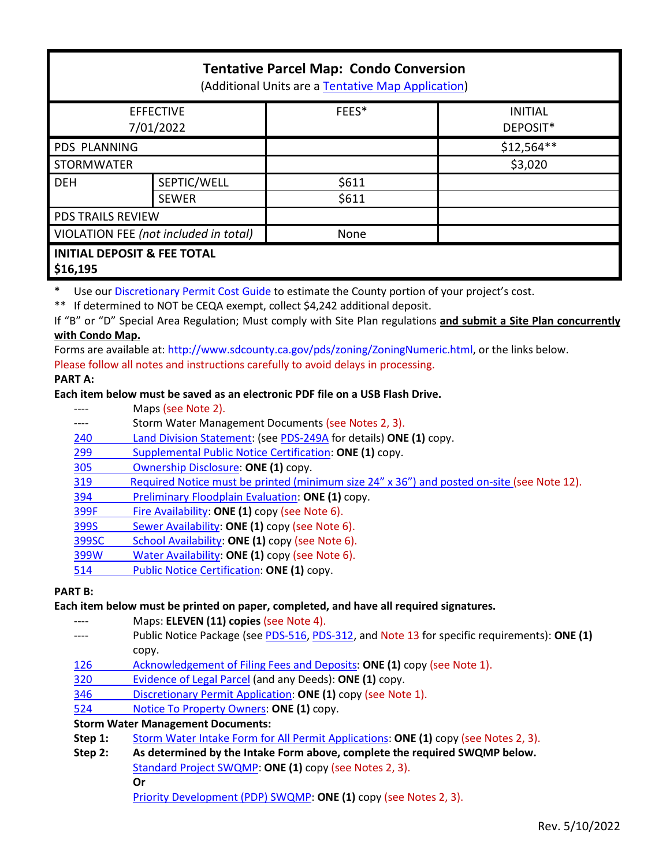# **Tentative Parcel Map: Condo Conversion**

(Additional Units are a [Tentative Map Application\)](http://www.sandiegocounty.gov/content/sdc/pds/zoning/ZoningPermits.html)

| <b>EFFECTIVE</b><br>7/01/2022          |              | FEES* | <b>INITIAL</b><br>DEPOSIT* |
|----------------------------------------|--------------|-------|----------------------------|
| PDS PLANNING                           |              |       | $$12,564**$                |
| <b>STORMWATER</b>                      |              |       | \$3,020                    |
| <b>DEH</b>                             | SEPTIC/WELL  | \$611 |                            |
|                                        | <b>SEWER</b> | \$611 |                            |
| PDS TRAILS REVIEW                      |              |       |                            |
| VIOLATION FEE (not included in total)  |              | None  |                            |
| <b>INITIAL DEPOSIT &amp; FEE TOTAL</b> |              |       |                            |

**\$16,195**

Use ou[r Discretionary Permit Cost Guide](http://www.sandiegocounty.gov/content/dam/sdc/pds/docs/Discretionary_Permit_Cost_Guide.xlsx) to estimate the County portion of your project's cost.

\*\* If determined to NOT be CEQA exempt, collect \$4,242 additional deposit.

If "B" or "D" Special Area Regulation; Must comply with Site Plan regulations **and submit a Site Plan concurrently with Condo Map.**

Forms are available at: [http://www.sdcounty.ca.gov/pds/zoning/ZoningNumeric.html,](http://www.sdcounty.ca.gov/pds/zoning/ZoningNumeric.html) or the links below. Please follow all notes and instructions carefully to avoid delays in processing.

# **PART A:**

# **Each item below must be saved as an electronic PDF file on a USB Flash Drive.**

- ---- Maps (see Note 2).
- ---- Storm Water Management Documents (see Notes 2, 3).
- 240 [Land Division Statement:](http://www.sdcounty.ca.gov/pds/zoning/formfields/PDS-PLN-240.pdf) (se[e PDS-249A](http://www.sdcounty.ca.gov/pds/zoning/formfields/PDS-PLN-249A.pdf) for details) **ONE (1)** copy.
- 299 [Supplemental Public Notice Certification:](http://www.sdcounty.ca.gov/pds/zoning/formfields/PDS-PLN-299.pdf) **ONE (1)** copy.
- [305 Ownership Disclosure:](http://www.sdcounty.ca.gov/pds/zoning/formfields/PDS-PLN-305.pdf) **ONE (1)** copy.
- [319 Required Notice must be printed \(minimum size 24" x 36"\) and posted on-site](https://www.sandiegocounty.gov/content/dam/sdc/pds/zoning/formfields/PDS-PLN-319.pdf) (see Note 12).
- [394 Preliminary Floodplain Evaluation:](http://www.sdcounty.ca.gov/pds/zoning/formfields/PDS-PLN-394.pdf) **ONE (1)** copy.
- [399F Fire Availability:](http://www.sdcounty.ca.gov/pds/zoning/formfields/PDS-PLN-399F.pdf) **ONE (1)** copy (see Note 6).
- 399S [Sewer Availability:](http://www.sdcounty.ca.gov/pds/zoning/formfields/PDS-PLN-399S.pdf) **ONE (1)** copy (see Note 6).
- [399SC School Availability:](http://www.sdcounty.ca.gov/pds/zoning/formfields/PDS-PLN-399SC.pdf) **ONE (1)** copy (see Note 6).
- [399W Water Availability:](http://www.sdcounty.ca.gov/pds/zoning/formfields/PDS-PLN-399W.pdf) **ONE (1)** copy (see Note 6).
- [514 Public Notice Certification:](http://www.sdcounty.ca.gov/pds/zoning/formfields/PDS-PLN-514.pdf) **ONE (1)** copy.

### **PART B:**

### **Each item below must be printed on paper, completed, and have all required signatures.**

- Maps: **ELEVEN** (11) copies (see Note 4).
- ---- Public Notice Package (se[e PDS-516,](http://www.sdcounty.ca.gov/pds/zoning/formfields/PDS-PLN-516.pdf) [PDS-312,](http://www.sdcounty.ca.gov/pds/zoning/formfields/PDS-PLN-312.pdf) and Note 13 for specific requirements): **ONE (1)** copy.
- [126 Acknowledgement of Filing Fees and Deposits:](http://www.sdcounty.ca.gov/pds/zoning/formfields/PDS-PLN-126.pdf) **ONE (1)** copy (see Note 1).
- [320 Evidence of Legal Parcel](http://www.sdcounty.ca.gov/pds/zoning/formfields/PDS-PLN-320.pdf) (and any Deeds): **ONE (1)** copy.
- 346 [Discretionary Permit Application:](http://www.sdcounty.ca.gov/pds/zoning/formfields/PDS-PLN-346.pdf) **ONE (1)** copy (see Note 1).
- 524 [Notice To Property Owners:](http://www.sdcounty.ca.gov/pds/zoning/formfields/PDS-PLN-524.pdf) **ONE (1)** copy.

# **Storm Water Management Documents:**

- **Step 1:** [Storm Water Intake Form for All Permit Applications:](http://www.sandiegocounty.gov/content/dam/sdc/pds/zoning/formfields/SWQMP-Intake-Form.pdf) **ONE (1)** copy (see Notes 2, 3).
- **Step 2: As determined by the Intake Form above, complete the required SWQMP below.** [Standard Project SWQMP:](http://www.sandiegocounty.gov/content/dam/sdc/pds/zoning/formfields/SWQMP-Standard.pdf) **ONE (1)** copy (see Notes 2, 3). **Or**
	-
	- [Priority Development \(PDP\) SWQMP:](https://www.sandiegocounty.gov/content/sdc/dpw/watersheds/DevelopmentandConstruction/BMP_Design_Manual.html) **ONE (1)** copy (see Notes 2, 3).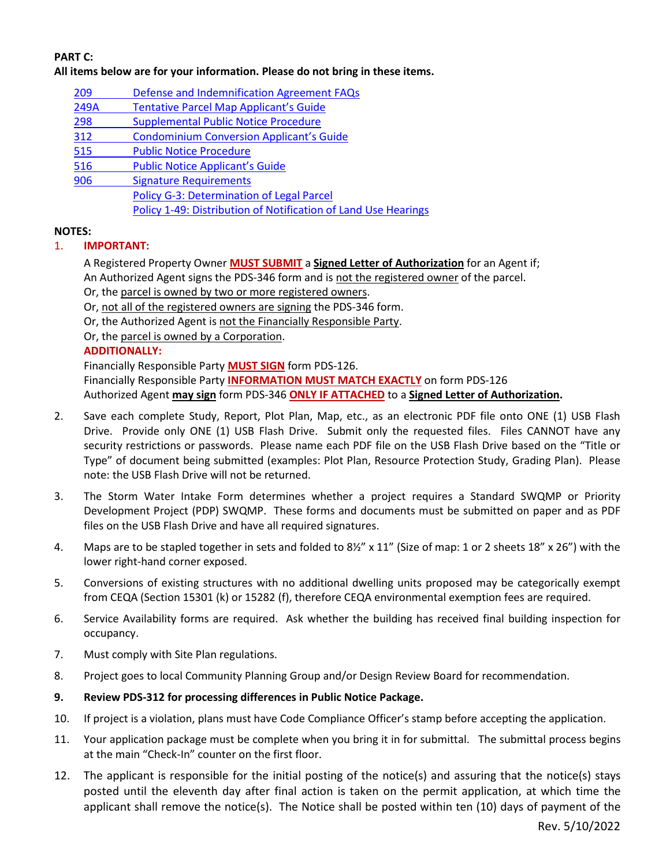# **PART C:**

**All items below are for your information. Please do not bring in these items.**

- 209 [Defense and Indemnification Agreement FAQs](http://www.sdcounty.ca.gov/pds/zoning/formfields/PDS-PLN-209.pdf)
- 249A [Tentative Parcel Map Applicant's Guide](http://www.sdcounty.ca.gov/pds/zoning/formfields/PDS-PLN-249A.pdf)
- [298 Supplemental Public Notice](http://www.sdcounty.ca.gov/pds/zoning/formfields/PDS-PLN-298.pdf) Procedure
- 312 [Condominium Conversion Applicant's Guide](http://www.sdcounty.ca.gov/pds/zoning/formfields/PDS-PLN-312.pdf)
- [515 Public Notice Procedure](http://www.sdcounty.ca.gov/pds/zoning/formfields/PDS-PLN-515.pdf)
- [516 Public Notice Applicant's Guide](http://www.sdcounty.ca.gov/pds/zoning/formfields/PDS-PLN-516.pdf)
- 906 Signature Requirements [Policy G-3: Determination of Legal Parcel](http://www.sdcounty.ca.gov/pds/zoning/formfields/POLICY-G-3.pdf)  [Policy 1-49: Distribution of Notification of](http://www.sdcounty.ca.gov/cob/docs/policy/I-49.pdf) Land Use Hearings

### **NOTES:**

# 1. **IMPORTANT:**

A Registered Property Owner **MUST SUBMIT** a **Signed Letter of Authorization** for an Agent if; An Authorized Agent signs the PDS-346 form and is not the registered owner of the parcel.

Or, the parcel is owned by two or more registered owners.

- Or, not all of the registered owners are signing the PDS-346 form.
- Or, the Authorized Agent is not the Financially Responsible Party.
- Or, the parcel is owned by a Corporation.

# **ADDITIONALLY:**

Financially Responsible Party **MUST SIGN** form PDS-126. Financially Responsible Party **INFORMATION MUST MATCH EXACTLY** on form PDS-126 Authorized Agent **may sign** form PDS-346 **ONLY IF ATTACHED** to a **Signed Letter of Authorization.** 

- 2. Save each complete Study, Report, Plot Plan, Map, etc., as an electronic PDF file onto ONE (1) USB Flash Drive. Provide only ONE (1) USB Flash Drive. Submit only the requested files. Files CANNOT have any security restrictions or passwords. Please name each PDF file on the USB Flash Drive based on the "Title or Type" of document being submitted (examples: Plot Plan, Resource Protection Study, Grading Plan). Please note: the USB Flash Drive will not be returned.
- 3. The Storm Water Intake Form determines whether a project requires a Standard SWQMP or Priority Development Project (PDP) SWQMP. These forms and documents must be submitted on paper and as PDF files on the USB Flash Drive and have all required signatures.
- 4. Maps are to be stapled together in sets and folded to 8½" x 11" (Size of map: 1 or 2 sheets 18" x 26") with the lower right-hand corner exposed.
- 5. Conversions of existing structures with no additional dwelling units proposed may be categorically exempt from CEQA (Section 15301 (k) or 15282 (f), therefore CEQA environmental exemption fees are required.
- 6. Service Availability forms are required. Ask whether the building has received final building inspection for occupancy.
- 7. Must comply with Site Plan regulations.
- 8. Project goes to local Community Planning Group and/or Design Review Board for recommendation.
- **9. Review PDS-312 for processing differences in Public Notice Package.**
- 10. If project is a violation, plans must have Code Compliance Officer's stamp before accepting the application.
- 11. Your application package must be complete when you bring it in for submittal. The submittal process begins at the main "Check-In" counter on the first floor.
- 12. The applicant is responsible for the initial posting of the notice(s) and assuring that the notice(s) stays posted until the eleventh day after final action is taken on the permit application, at which time the applicant shall remove the notice(s). The Notice shall be posted within ten (10) days of payment of the